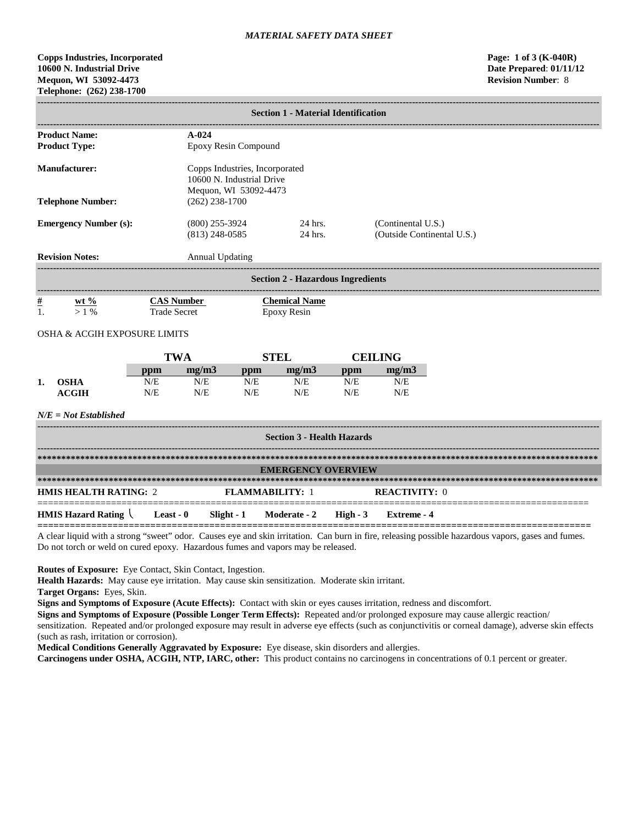# **Copps Industries, Incorporated Page: 1 of 3 (K-040R) 10600 N. Industrial Drive Date Prepared**: **01/11/12 Mequon, WI 53092-4473 Telephone: (262) 238-1700**

|                                          | <b>Section 1 - Material Identification</b>     |                                                                                        |                                                                                      |                        |                                   |                                                  |                      |  |
|------------------------------------------|------------------------------------------------|----------------------------------------------------------------------------------------|--------------------------------------------------------------------------------------|------------------------|-----------------------------------|--------------------------------------------------|----------------------|--|
|                                          | <b>Product Name:</b><br><b>Product Type:</b>   |                                                                                        | $A-024$                                                                              | Epoxy Resin Compound   |                                   |                                                  |                      |  |
| <b>Manufacturer:</b>                     |                                                |                                                                                        | Copps Industries, Incorporated<br>10600 N. Industrial Drive<br>Mequon, WI 53092-4473 |                        |                                   |                                                  |                      |  |
|                                          | <b>Telephone Number:</b>                       |                                                                                        | $(262)$ 238-1700                                                                     |                        |                                   |                                                  |                      |  |
| <b>Emergency Number (s):</b>             |                                                |                                                                                        | $(800)$ 255-3924<br>24 hrs.<br>$(813)$ 248-0585<br>24 hrs.                           |                        |                                   | (Continental U.S.)<br>(Outside Continental U.S.) |                      |  |
|                                          | <b>Revision Notes:</b>                         |                                                                                        | <b>Annual Updating</b>                                                               |                        |                                   |                                                  |                      |  |
| <b>Section 2 - Hazardous Ingredients</b> |                                                |                                                                                        |                                                                                      |                        |                                   |                                                  |                      |  |
| $\#$<br>$\mathbf{1}$ .                   | wt $%$<br>$>1\%$                               | <b>CAS Number</b><br><b>Chemical Name</b><br><b>Trade Secret</b><br><b>Epoxy Resin</b> |                                                                                      |                        |                                   |                                                  |                      |  |
|                                          | <b>OSHA &amp; ACGIH EXPOSURE LIMITS</b>        |                                                                                        |                                                                                      |                        |                                   |                                                  |                      |  |
|                                          |                                                |                                                                                        | <b>TWA</b>                                                                           |                        | <b>STEL</b>                       |                                                  | <b>CEILING</b>       |  |
|                                          |                                                | ppm                                                                                    | mg/m3                                                                                | ppm                    | mg/m3                             | ppm                                              | mg/m3                |  |
| 1.                                       | <b>OSHA</b><br><b>ACGIH</b>                    | N/E<br>N/E                                                                             | N/E<br>N/E                                                                           | N/E<br>N/E             | N/E<br>N/E                        | N/E<br>N/E                                       | N/E<br>N/E           |  |
|                                          | $N/E = Not$ Established                        |                                                                                        |                                                                                      |                        |                                   |                                                  |                      |  |
|                                          |                                                |                                                                                        |                                                                                      |                        | <b>Section 3 - Health Hazards</b> |                                                  |                      |  |
|                                          |                                                |                                                                                        |                                                                                      |                        |                                   |                                                  |                      |  |
|                                          |                                                |                                                                                        |                                                                                      |                        | <b>EMERGENCY OVERVIEW</b>         |                                                  |                      |  |
|                                          | <b>HMIS HEALTH RATING: 2</b>                   |                                                                                        |                                                                                      | <b>FLAMMABILITY: 1</b> |                                   |                                                  | <b>REACTIVITY: 0</b> |  |
|                                          | <b>HMIS Hazard Rating <math>\langle</math></b> | Least - $0$                                                                            | Slight - 1                                                                           |                        | Moderate - 2                      | $High - 3$                                       | <b>Extreme</b> - 4   |  |

**=======================================================================================================** A clear liquid with a strong "sweet" odor. Causes eye and skin irritation. Can burn in fire, releasing possible hazardous vapors, gases and fumes. Do not torch or weld on cured epoxy. Hazardous fumes and vapors may be released.

**Routes of Exposure:** Eye Contact, Skin Contact, Ingestion.

**Health Hazards:** May cause eye irritation. May cause skin sensitization. Moderate skin irritant.

**Target Organs:** Eyes, Skin.

**Signs and Symptoms of Exposure (Acute Effects):** Contact with skin or eyes causes irritation, redness and discomfort.

**Signs and Symptoms of Exposure (Possible Longer Term Effects):** Repeated and/or prolonged exposure may cause allergic reaction/ sensitization. Repeated and/or prolonged exposure may result in adverse eye effects (such as conjunctivitis or corneal damage), adverse skin effects (such as rash, irritation or corrosion).

**Medical Conditions Generally Aggravated by Exposure:** Eye disease, skin disorders and allergies.

**Carcinogens under OSHA, ACGIH, NTP, IARC, other:** This product contains no carcinogens in concentrations of 0.1 percent or greater.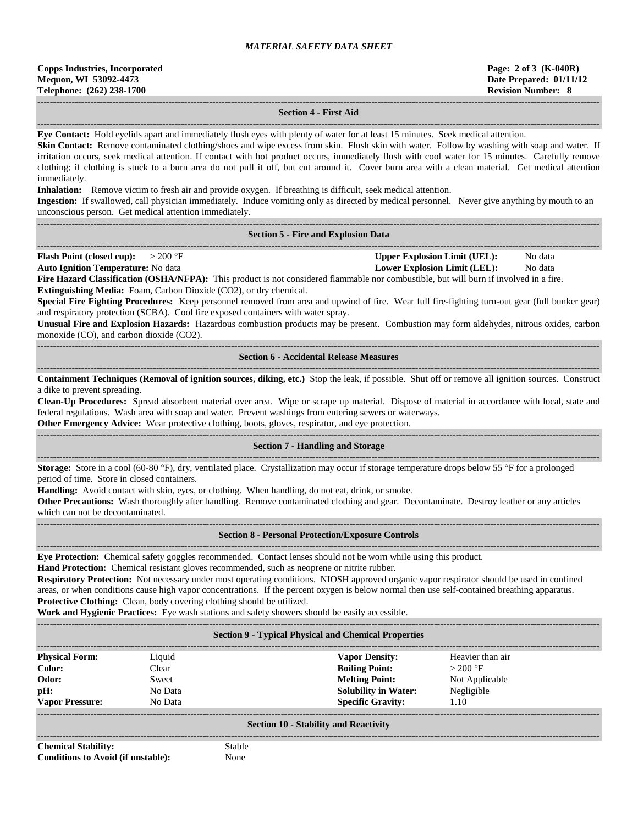| <b>Copps Industries, Incorporated</b> |  |  |  |  |  |
|---------------------------------------|--|--|--|--|--|
| Mequon, WI 53092-4473                 |  |  |  |  |  |
| Telephone: (262) 238-1700             |  |  |  |  |  |

### **------------------------------------------------------------------------------------------------------------------------------------------------------------------------------------ Section 4 - First Aid**

**------------------------------------------------------------------------------------------------------------------------------------------------------------------------------------ Eye Contact:** Hold eyelids apart and immediately flush eyes with plenty of water for at least 15 minutes. Seek medical attention.

**Skin Contact:** Remove contaminated clothing/shoes and wipe excess from skin. Flush skin with water. Follow by washing with soap and water. If irritation occurs, seek medical attention. If contact with hot product occurs, immediately flush with cool water for 15 minutes. Carefully remove clothing; if clothing is stuck to a burn area do not pull it off, but cut around it. Cover burn area with a clean material. Get medical attention immediately.

**Inhalation:** Remove victim to fresh air and provide oxygen. If breathing is difficult, seek medical attention.

**Ingestion:** If swallowed, call physician immediately. Induce vomiting only as directed by medical personnel. Never give anything by mouth to an unconscious person. Get medical attention immediately.

#### **------------------------------------------------------------------------------------------------------------------------------------------------------------------------------------ Section 5 - Fire and Explosion Data**

**------------------------------------------------------------------------------------------------------------------------------------------------------------------------------------ Flash Point (closed cup):**  $> 200 \text{ }^{\circ}\text{F}$  **Upper Explosion Limit (UEL):** No data

**Auto Ignition Temperature:** No data **Lower Explosion Limit (LEL):** No data

**Fire Hazard Classification (OSHA/NFPA):** This product is not considered flammable nor combustible, but will burn if involved in a fire. **Extinguishing Media:** Foam, Carbon Dioxide (CO2), or dry chemical.

**Special Fire Fighting Procedures:** Keep personnel removed from area and upwind of fire. Wear full fire-fighting turn-out gear (full bunker gear) and respiratory protection (SCBA). Cool fire exposed containers with water spray.

**Unusual Fire and Explosion Hazards:** Hazardous combustion products may be present. Combustion may form aldehydes, nitrous oxides, carbon monoxide (CO), and carbon dioxide (CO2).

**------------------------------------------------------------------------------------------------------------------------------------------------------------------------------------ Section 6 - Accidental Release Measures**

**------------------------------------------------------------------------------------------------------------------------------------------------------------------------------------ Containment Techniques (Removal of ignition sources, diking, etc.)** Stop the leak, if possible. Shut off or remove all ignition sources. Construct a dike to prevent spreading.

**Clean-Up Procedures:** Spread absorbent material over area. Wipe or scrape up material. Dispose of material in accordance with local, state and federal regulations. Wash area with soap and water. Prevent washings from entering sewers or waterways.

**Other Emergency Advice:** Wear protective clothing, boots, gloves, respirator, and eye protection.

### ------------------------------------------------------------------------------------------------------------------------------------------------------------------------------------ **Section 7 - Handling and Storage**

**------------------------------------------------------------------------------------------------------------------------------------------------------------------------------------ Storage:** Store in a cool (60-80 °F), dry, ventilated place. Crystallization may occur if storage temperature drops below 55 °F for a prolonged period of time. Store in closed containers.

**Handling:** Avoid contact with skin, eyes, or clothing. When handling, do not eat, drink, or smoke.

**Other Precautions:** Wash thoroughly after handling. Remove contaminated clothing and gear. Decontaminate. Destroy leather or any articles which can not be decontaminated.

**------------------------------------------------------------------------------------------------------------------------------------------------------------------------------------**

### **------------------------------------------------------------------------------------------------------------------------------------------------------------------------------------ Section 8 - Personal Protection/Exposure Controls**

**Eye Protection:** Chemical safety goggles recommended. Contact lenses should not be worn while using this product.

**Hand Protection:** Chemical resistant gloves recommended, such as neoprene or nitrite rubber.

**Respiratory Protection:** Not necessary under most operating conditions. NIOSH approved organic vapor respirator should be used in confined areas, or when conditions cause high vapor concentrations. If the percent oxygen is below normal then use self-contained breathing apparatus. **Protective Clothing:** Clean, body covering clothing should be utilized.

**Work and Hygienic Practices:** Eye wash stations and safety showers should be easily accessible. **------------------------------------------------------------------------------------------------------------------------------------------------------------------------------------**

### **Section 9 - Typical Physical and Chemical Properties**

| <b>Physical Form:</b>  | Liquid  | <b>Vapor Density:</b>       | Heavier than air |
|------------------------|---------|-----------------------------|------------------|
| Color:                 | Clear   | <b>Boiling Point:</b>       | $>200$ °F        |
| Odor:                  | Sweet   | <b>Melting Point:</b>       | Not Applicable   |
| pH:                    | No Data | <b>Solubility in Water:</b> | Negligible       |
| <b>Vapor Pressure:</b> | No Data | <b>Specific Gravity:</b>    | 1.10             |
|                        |         |                             |                  |

#### **Section 10 - Stability and Reactivity**  $-1-\frac{1}{2}$

**Chemical Stability:** Stable **Conditions to Avoid (if unstable):** None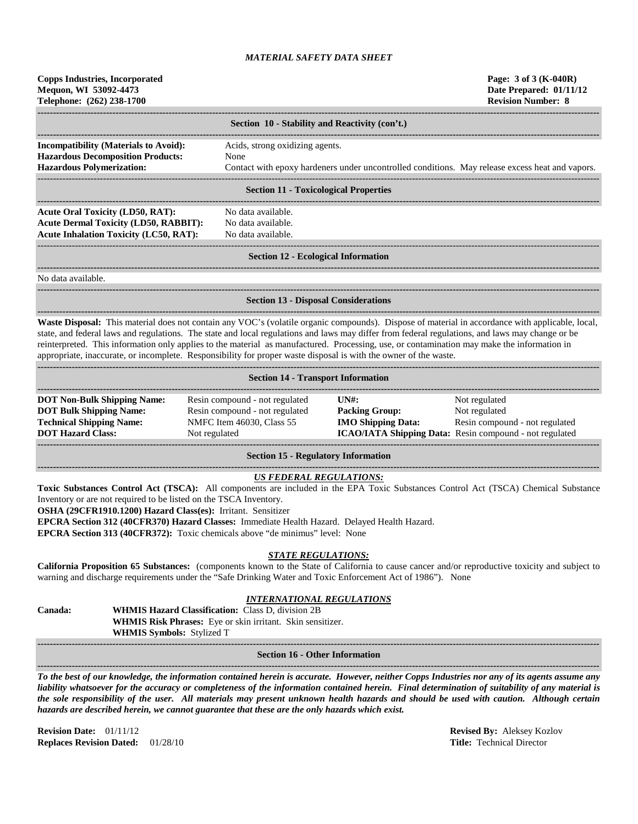| <b>Copps Industries, Incorporated</b><br>Mequon, WI 53092-4473<br>Telephone: (262) 238-1700                                                                                                                                                                                                                                                                                                                                                             |                                                                                                                                                            |                                                    | Page: 3 of 3 (K-040R)<br>Date Prepared: 01/11/12<br><b>Revision Number: 8</b>                   |
|---------------------------------------------------------------------------------------------------------------------------------------------------------------------------------------------------------------------------------------------------------------------------------------------------------------------------------------------------------------------------------------------------------------------------------------------------------|------------------------------------------------------------------------------------------------------------------------------------------------------------|----------------------------------------------------|-------------------------------------------------------------------------------------------------|
|                                                                                                                                                                                                                                                                                                                                                                                                                                                         | Section 10 - Stability and Reactivity (con't.)                                                                                                             |                                                    |                                                                                                 |
| <b>Incompatibility (Materials to Avoid):</b>                                                                                                                                                                                                                                                                                                                                                                                                            | Acids, strong oxidizing agents.                                                                                                                            |                                                    |                                                                                                 |
| <b>Hazardous Decomposition Products:</b>                                                                                                                                                                                                                                                                                                                                                                                                                | None                                                                                                                                                       |                                                    |                                                                                                 |
| <b>Hazardous Polymerization:</b>                                                                                                                                                                                                                                                                                                                                                                                                                        |                                                                                                                                                            |                                                    | Contact with epoxy hardeners under uncontrolled conditions. May release excess heat and vapors. |
|                                                                                                                                                                                                                                                                                                                                                                                                                                                         | <b>Section 11 - Toxicological Properties</b>                                                                                                               |                                                    |                                                                                                 |
| <b>Acute Oral Toxicity (LD50, RAT):</b>                                                                                                                                                                                                                                                                                                                                                                                                                 | No data available.                                                                                                                                         |                                                    |                                                                                                 |
| <b>Acute Dermal Toxicity (LD50, RABBIT):</b>                                                                                                                                                                                                                                                                                                                                                                                                            | No data available.                                                                                                                                         |                                                    |                                                                                                 |
| <b>Acute Inhalation Toxicity (LC50, RAT):</b>                                                                                                                                                                                                                                                                                                                                                                                                           | No data available.                                                                                                                                         |                                                    |                                                                                                 |
|                                                                                                                                                                                                                                                                                                                                                                                                                                                         | <b>Section 12 - Ecological Information</b>                                                                                                                 |                                                    |                                                                                                 |
| No data available.                                                                                                                                                                                                                                                                                                                                                                                                                                      |                                                                                                                                                            |                                                    |                                                                                                 |
|                                                                                                                                                                                                                                                                                                                                                                                                                                                         | <b>Section 13 - Disposal Considerations</b>                                                                                                                |                                                    |                                                                                                 |
| state, and federal laws and regulations. The state and local regulations and laws may differ from federal regulations, and laws may change or be<br>reinterpreted. This information only applies to the material as manufactured. Processing, use, or contamination may make the information in<br>appropriate, inaccurate, or incomplete. Responsibility for proper waste disposal is with the owner of the waste.                                     |                                                                                                                                                            |                                                    |                                                                                                 |
|                                                                                                                                                                                                                                                                                                                                                                                                                                                         | <b>Section 14 - Transport Information</b>                                                                                                                  |                                                    |                                                                                                 |
| <b>DOT Non-Bulk Shipping Name:</b><br><b>DOT Bulk Shipping Name:</b>                                                                                                                                                                                                                                                                                                                                                                                    | Resin compound - not regulated                                                                                                                             | $UN#$ :                                            | Not regulated                                                                                   |
| <b>Technical Shipping Name:</b>                                                                                                                                                                                                                                                                                                                                                                                                                         | Resin compound - not regulated<br>NMFC Item 46030, Class 55                                                                                                | <b>Packing Group:</b><br><b>IMO Shipping Data:</b> | Not regulated<br>Resin compound - not regulated                                                 |
| <b>DOT Hazard Class:</b>                                                                                                                                                                                                                                                                                                                                                                                                                                | Not regulated                                                                                                                                              |                                                    | ICAO/IATA Shipping Data: Resin compound - not regulated                                         |
|                                                                                                                                                                                                                                                                                                                                                                                                                                                         | <b>Section 15 - Regulatory Information</b>                                                                                                                 |                                                    |                                                                                                 |
| Toxic Substances Control Act (TSCA): All components are included in the EPA Toxic Substances Control Act (TSCA) Chemical Substance<br>Inventory or are not required to be listed on the TSCA Inventory.<br>OSHA (29CFR1910.1200) Hazard Class(es): Irritant. Sensitizer<br>EPCRA Section 312 (40CFR370) Hazard Classes: Immediate Health Hazard. Delayed Health Hazard.<br>EPCRA Section 313 (40CFR372): Toxic chemicals above "de minimus" level: None | <b>US FEDERAL REGULATIONS:</b>                                                                                                                             |                                                    |                                                                                                 |
| California Proposition 65 Substances: (components known to the State of California to cause cancer and/or reproductive toxicity and subject to<br>warning and discharge requirements under the "Safe Drinking Water and Toxic Enforcement Act of 1986"). None                                                                                                                                                                                           | <b>STATE REGULATIONS:</b>                                                                                                                                  |                                                    |                                                                                                 |
| Canada:<br>WHMIS Symbols: Stylized T                                                                                                                                                                                                                                                                                                                                                                                                                    | <b>INTERNATIONAL REGULATIONS</b><br><b>WHMIS Hazard Classification:</b> Class D, division 2B<br>WHMIS Risk Phrases: Eye or skin irritant. Skin sensitizer. |                                                    |                                                                                                 |
|                                                                                                                                                                                                                                                                                                                                                                                                                                                         | <b>Section 16 - Other Information</b>                                                                                                                      |                                                    |                                                                                                 |
| To the best of our knowledge, the information contained herein is accurate. However, neither Copps Industries nor any of its agents assume any<br>liability whatsoever for the accuracy or completeness of the information contained herein. Final determination of suitability of any material is                                                                                                                                                      |                                                                                                                                                            |                                                    |                                                                                                 |

*the sole responsibility of the user. All materials may present unknown health hazards and should be used with caution. Although certain hazards are described herein, we cannot guarantee that these are the only hazards which exist.*

**Revision Date:** 01/11/12 **Revised By:** Aleksey Kozlov **Replaces Revision Dated:** 01/28/10 **Title:** Technical Director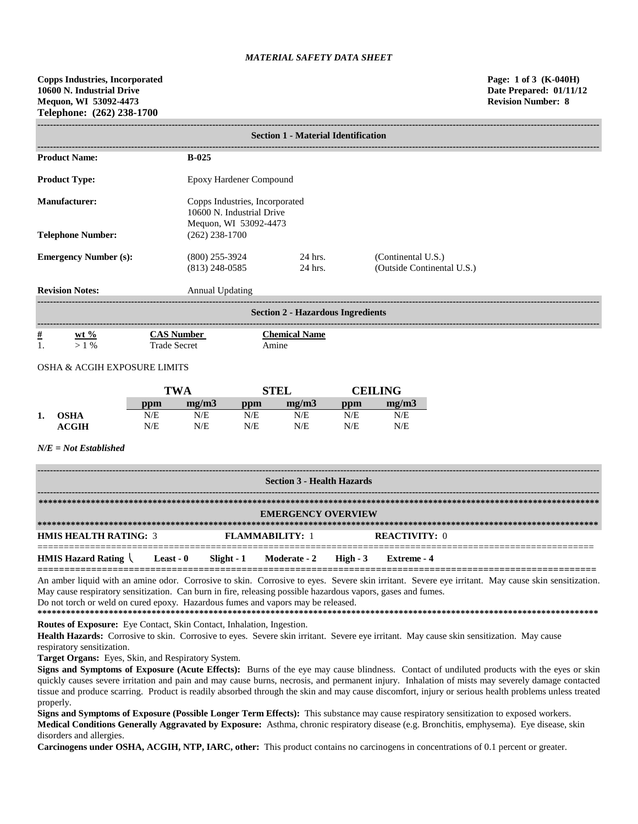| <b>Section 1 - Material Identification</b>      |                                      |                                                                                      |                                                  |  |  |  |  |
|-------------------------------------------------|--------------------------------------|--------------------------------------------------------------------------------------|--------------------------------------------------|--|--|--|--|
| <b>Product Name:</b>                            | $B-0.25$                             |                                                                                      |                                                  |  |  |  |  |
| <b>Product Type:</b><br>Epoxy Hardener Compound |                                      |                                                                                      |                                                  |  |  |  |  |
| Manufacturer:                                   |                                      | Copps Industries, Incorporated<br>10600 N. Industrial Drive<br>Mequon, WI 53092-4473 |                                                  |  |  |  |  |
| <b>Telephone Number:</b>                        | $(262)$ 238-1700                     |                                                                                      |                                                  |  |  |  |  |
| <b>Emergency Number (s):</b>                    | $(800)$ 255-3924<br>$(813)$ 248-0585 | 24 hrs.<br>24 hrs.                                                                   | (Continental U.S.)<br>(Outside Continental U.S.) |  |  |  |  |
| <b>Revision Notes:</b>                          | Annual Updating                      |                                                                                      |                                                  |  |  |  |  |
| <b>Section 2 - Hazardous Ingredients</b>        |                                      |                                                                                      |                                                  |  |  |  |  |
| <u>#</u><br>$wt \%$                             | <b>CAS Number</b>                    | <b>Chemical Name</b>                                                                 |                                                  |  |  |  |  |

### OSHA & ACGIH EXPOSURE LIMITS

1. > 1 % Trade Secret Amine

|    |              | TWA |       |     | <b>STEL</b> |     | CEILING- |  |
|----|--------------|-----|-------|-----|-------------|-----|----------|--|
|    |              | ppm | me/m3 | ppm | mg/m3       | ppm | mg/m3    |  |
| 1. | <b>OSHA</b>  | N/E | N/E   | N/E | N/E         | N/E | N/E      |  |
|    | <b>ACGIH</b> | N/E | N/E   | N/E | N/E         | N/E | N/E      |  |

*N/E = Not Established*

| <b>Section 3 - Health Hazards</b>                                              |  |  |  |  |             |  |
|--------------------------------------------------------------------------------|--|--|--|--|-------------|--|
| <b>EMERGENCY OVERVIEW</b>                                                      |  |  |  |  |             |  |
| <b>HMIS HEALTH RATING: 3</b><br><b>FLAMMABILITY: 1</b><br><b>REACTIVITY: 0</b> |  |  |  |  |             |  |
| HMIS Hazard Rating Least - 0 Slight - 1 Moderate - 2 High - 3                  |  |  |  |  | Extreme - 4 |  |

An amber liquid with an amine odor. Corrosive to skin. Corrosive to eyes. Severe skin irritant. Severe eye irritant. May cause skin sensitization. May cause respiratory sensitization. Can burn in fire, releasing possible hazardous vapors, gases and fumes. Do not torch or weld on cured epoxy. Hazardous fumes and vapors may be released.

**\*\*\*\*\*\*\*\*\*\*\*\*\*\*\*\*\*\*\*\*\*\*\*\*\*\*\*\*\*\*\*\*\*\*\*\*\*\*\*\*\*\*\*\*\*\*\*\*\*\*\*\*\*\*\*\*\*\*\*\*\*\*\*\*\*\*\*\*\*\*\*\*\*\*\*\*\*\*\*\*\*\*\*\*\*\*\*\*\*\*\*\*\*\*\*\*\*\*\*\*\*\*\*\*\*\*\*\*\*\*\*\*\*\*\*\*\*\***

**Routes of Exposure:** Eye Contact, Skin Contact, Inhalation, Ingestion.

Health Hazards: Corrosive to skin. Corrosive to eyes. Severe skin irritant. Severe eye irritant. May cause skin sensitization. May cause respiratory sensitization.

**Target Organs:** Eyes, Skin, and Respiratory System.

**Signs and Symptoms of Exposure (Acute Effects):** Burns of the eye may cause blindness. Contact of undiluted products with the eyes or skin quickly causes severe irritation and pain and may cause burns, necrosis, and permanent injury. Inhalation of mists may severely damage contacted tissue and produce scarring. Product is readily absorbed through the skin and may cause discomfort, injury or serious health problems unless treated properly.

**Signs and Symptoms of Exposure (Possible Longer Term Effects):** This substance may cause respiratory sensitization to exposed workers.

**Medical Conditions Generally Aggravated by Exposure:** Asthma, chronic respiratory disease (e.g. Bronchitis, emphysema). Eye disease, skin disorders and allergies.

**Carcinogens under OSHA, ACGIH, NTP, IARC, other:** This product contains no carcinogens in concentrations of 0.1 percent or greater.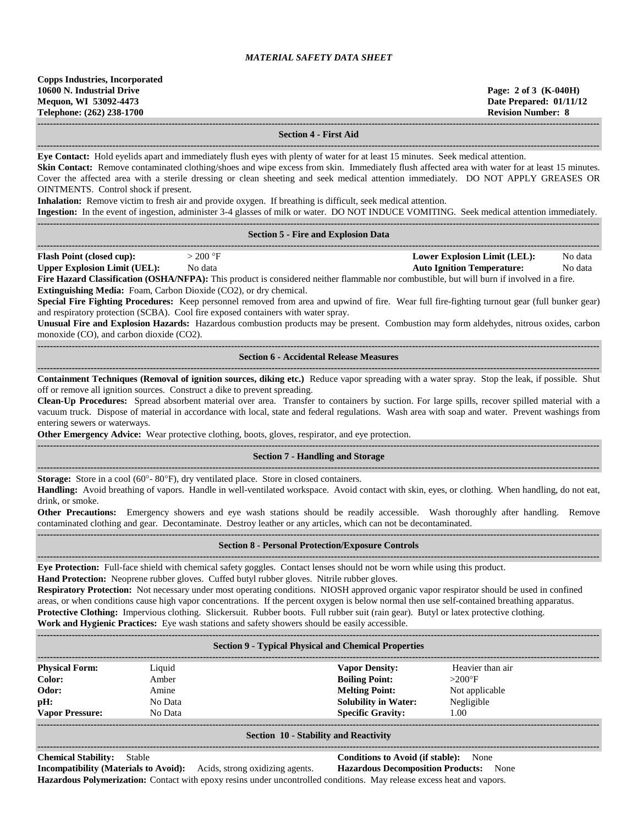| <b>Copps Industries, Incorporated</b> |  |  |  |  |  |
|---------------------------------------|--|--|--|--|--|
| 10600 N. Industrial Drive             |  |  |  |  |  |
| Mequon, WI 53092-4473                 |  |  |  |  |  |
| Telephone: (262) 238-1700             |  |  |  |  |  |
|                                       |  |  |  |  |  |

**10600 N. Industrial Drive Page: 2 of 3 (K-040H) Date Prepared: 01/11/12 Revision Number: 8** 

**------------------------------------------------------------------------------------------------------------------------------------------------------------------------------------**

### **Section 4 - First Aid**

**------------------------------------------------------------------------------------------------------------------------------------------------------------------------------------ Eye Contact:** Hold eyelids apart and immediately flush eyes with plenty of water for at least 15 minutes. Seek medical attention.

**Skin Contact:** Remove contaminated clothing/shoes and wipe excess from skin. Immediately flush affected area with water for at least 15 minutes. Cover the affected area with a sterile dressing or clean sheeting and seek medical attention immediately. DO NOT APPLY GREASES OR OINTMENTS. Control shock if present.

**Inhalation:** Remove victim to fresh air and provide oxygen. If breathing is difficult, seek medical attention.

**Ingestion:** In the event of ingestion, administer 3-4 glasses of milk or water. DO NOT INDUCE VOMITING. Seek medical attention immediately.

|                                                                          |           | <b>Ingestion:</b> In the event of ingestion, administer 3-4 glasses of milk or water. DO NOT INDUCE VOMITING. Seek medical attention immediately. |         |
|--------------------------------------------------------------------------|-----------|---------------------------------------------------------------------------------------------------------------------------------------------------|---------|
|                                                                          |           |                                                                                                                                                   |         |
|                                                                          |           | <b>Section 5 - Fire and Explosion Data</b>                                                                                                        |         |
|                                                                          |           |                                                                                                                                                   |         |
| <b>Flash Point (closed cup):</b>                                         | $>200$ °F | <b>Lower Explosion Limit (LEL):</b>                                                                                                               | No data |
| <b>Upper Explosion Limit (UEL):</b>                                      | No data   | <b>Auto Ignition Temperature:</b>                                                                                                                 | No data |
|                                                                          |           | Fire Hazard Classification (OSHA/NFPA): This product is considered neither flammable nor combustible, but will burn if involved in a fire.        |         |
| <b>Extinguishing Media:</b> Foam, Carbon Dioxide (CO2), or dry chemical. |           |                                                                                                                                                   |         |
|                                                                          |           |                                                                                                                                                   |         |

**Special Fire Fighting Procedures:** Keep personnel removed from area and upwind of fire. Wear full fire-fighting turnout gear (full bunker gear) and respiratory protection (SCBA). Cool fire exposed containers with water spray.

**Unusual Fire and Explosion Hazards:** Hazardous combustion products may be present. Combustion may form aldehydes, nitrous oxides, carbon monoxide (CO), and carbon dioxide (CO2).

### **------------------------------------------------------------------------------------------------------------------------------------------------------------------------------------ Section 6 - Accidental Release Measures**

**------------------------------------------------------------------------------------------------------------------------------------------------------------------------------------ Containment Techniques (Removal of ignition sources, diking etc.)** Reduce vapor spreading with a water spray. Stop the leak, if possible. Shut off or remove all ignition sources. Construct a dike to prevent spreading.

**Clean-Up Procedures:** Spread absorbent material over area. Transfer to containers by suction. For large spills, recover spilled material with a vacuum truck. Dispose of material in accordance with local, state and federal regulations. Wash area with soap and water. Prevent washings from entering sewers or waterways.

**Other Emergency Advice:** Wear protective clothing, boots, gloves, respirator, and eye protection. **------------------------------------------------------------------------------------------------------------------------------------------------------------------------------------**

### **Section 7 - Handling and Storage**

**------------------------------------------------------------------------------------------------------------------------------------------------------------------------------------ Storage:** Store in a cool (60°- 80°F), dry ventilated place. Store in closed containers.

**Handling:** Avoid breathing of vapors. Handle in well-ventilated workspace. Avoid contact with skin, eyes, or clothing. When handling, do not eat, drink, or smoke.

**Other Precautions:** Emergency showers and eye wash stations should be readily accessible. Wash thoroughly after handling. Remove contaminated clothing and gear. Decontaminate. Destroy leather or any articles, which can not be decontaminated. **------------------------------------------------------------------------------------------------------------------------------------------------------------------------------------**

### **Section 8 - Personal Protection/Exposure Controls**

**------------------------------------------------------------------------------------------------------------------------------------------------------------------------------------ Eye Protection:** Full-face shield with chemical safety goggles. Contact lenses should not be worn while using this product. **Hand Protection:** Neoprene rubber gloves. Cuffed butyl rubber gloves. Nitrile rubber gloves.

**Respiratory Protection:** Not necessary under most operating conditions. NIOSH approved organic vapor respirator should be used in confined areas, or when conditions cause high vapor concentrations. If the percent oxygen is below normal then use self-contained breathing apparatus. **Protective Clothing:** Impervious clothing. Slickersuit. Rubber boots. Full rubber suit (rain gear). Butyl or latex protective clothing. **Work and Hygienic Practices:** Eye wash stations and safety showers should be easily accessible.

| <b>Section 9 - Typical Physical and Chemical Properties</b> |         |                             |                  |  |  |  |  |
|-------------------------------------------------------------|---------|-----------------------------|------------------|--|--|--|--|
| <b>Physical Form:</b>                                       | Liquid  | <b>Vapor Density:</b>       | Heavier than air |  |  |  |  |
| Color:                                                      | Amber   | <b>Boiling Point:</b>       | $>200^\circ F$   |  |  |  |  |
| Odor:                                                       | Amine   | <b>Melting Point:</b>       | Not applicable   |  |  |  |  |
| pH:                                                         | No Data | <b>Solubility in Water:</b> | Negligible       |  |  |  |  |
| <b>Vapor Pressure:</b>                                      | No Data | <b>Specific Gravity:</b>    | 1.00             |  |  |  |  |
|                                                             |         |                             |                  |  |  |  |  |

#### **Section 10 - Stability and Reactivity ------------------------------------------------------------------------------------------------------------------------------------------------------------------------------------**

**Chemical Stability:** Stable **Conditions to Avoid (if stable):** None **Incompatibility (Materials to Avoid):** Acids, strong oxidizing agents. **Hazardous Decomposition Products:** None **Hazardous Polymerization:** Contact with epoxy resins under uncontrolled conditions. May release excess heat and vapors.